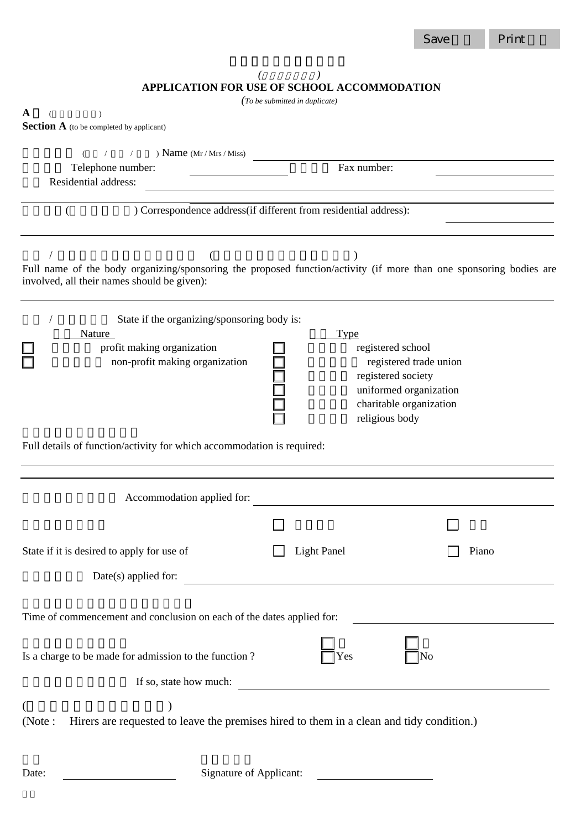## *(*請遞交一式二份*)* **APPLICATION FOR USE OF SCHOOL ACCOMMODATION**  *(To be submitted in duplicate)*

| <b>Section A</b> (to be completed by applicant) |                                                                  |             |  |  |  |
|-------------------------------------------------|------------------------------------------------------------------|-------------|--|--|--|
|                                                 | $($ / / $)$ Name (Mr / Mrs / Miss)                               |             |  |  |  |
|                                                 | Telephone number:                                                | Fax number: |  |  |  |
| Residential address:                            |                                                                  |             |  |  |  |
|                                                 | ) Correspondence address(if different from residential address): |             |  |  |  |
|                                                 |                                                                  |             |  |  |  |
|                                                 |                                                                  |             |  |  |  |

Full name of the body organizing/sponsoring the proposed function/activity (if more than one sponsoring bodies are involved, all their names should be given):

| State if the organizing/sponsoring body is:<br>Nature                                              | Type               |                                                                                                                                          |  |
|----------------------------------------------------------------------------------------------------|--------------------|------------------------------------------------------------------------------------------------------------------------------------------|--|
| profit making organization<br>non-profit making organization                                       |                    | registered school<br>registered trade union<br>registered society<br>uniformed organization<br>charitable organization<br>religious body |  |
| Full details of function/activity for which accommodation is required:                             |                    |                                                                                                                                          |  |
| Accommodation applied for:                                                                         |                    |                                                                                                                                          |  |
|                                                                                                    |                    |                                                                                                                                          |  |
| State if it is desired to apply for use of                                                         | <b>Light Panel</b> | Piano                                                                                                                                    |  |
| Date(s) applied for:                                                                               |                    |                                                                                                                                          |  |
| Time of commencement and conclusion on each of the dates applied for:                              |                    |                                                                                                                                          |  |
| Is a charge to be made for admission to the function?<br>If so, state how much:                    | Yes                | No                                                                                                                                       |  |
| Hirers are requested to leave the premises hired to them in a clean and tidy condition.)<br>(Note: |                    |                                                                                                                                          |  |

Date: Signature of Applicant:

**A** ( )